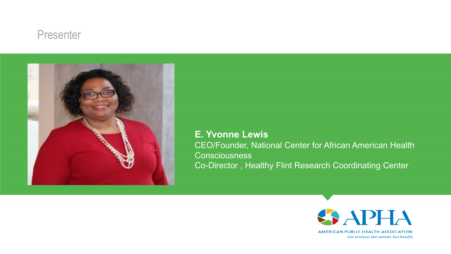### Presenter



**E. Yvonne Lewis** CEO/Founder, National Center for African American Health **Consciousness** Co-Director , Healthy Flint Research Coordinating Center

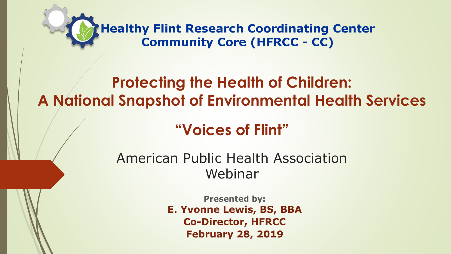

# **Protecting the Health of Children: A National Snapshot of Environmental Health Services**

# **"Voices of Flint"**

American Public Health Association Webinar

> **Presented by: E. Yvonne Lewis, BS, BBA Co-Director, HFRCC February 28, 2019**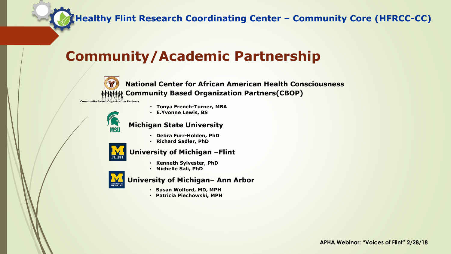### **Community/Academic Partnership**



**National Center for African American Health Consciousness Community Based Organization Partners(CBOP)**

**Community Based Organization Partners**



#### • **Tonya French-Turner, MBA**

• **E.Yvonne Lewis, BS**



- **Debra Furr-Holden, PhD**
- **Richard Sadler, PhD**



### **University of Michigan –Flint**

- **Kenneth Sylvester, PhD**
- **Michelle Sali, PhD**



#### **University of Michigan– Ann Arbor**

- **Susan Wolford, MD, MPH**
- **Patricia Piechowski, MPH**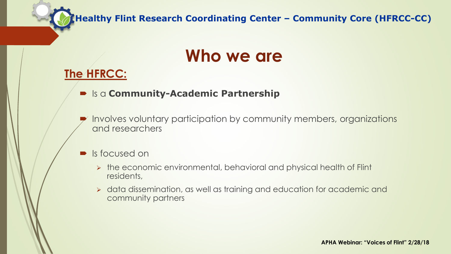# **Who we are**

### **The HFRCC:**

- Is a **Community-Academic Partnership**
- Involves voluntary participation by community members, organizations and researchers
- Is focused on
	- $\triangleright$  the economic environmental, behavioral and physical health of Flint residents,
	- data dissemination, as well as training and education for academic and community partners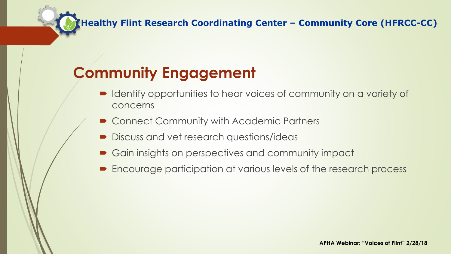# **Community Engagement**

- Identify opportunities to hear voices of community on a variety of concerns
- Connect Community with Academic Partners
- **Discuss and vet research questions/ideas**
- Gain insights on perspectives and community impact
- Encourage participation at various levels of the research process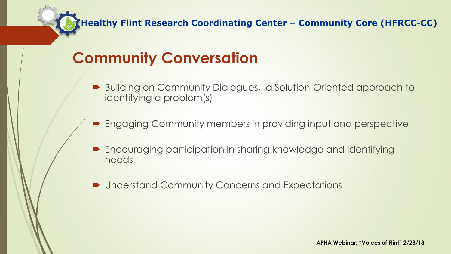# **Community Conversation**

- Building on Community Dialogues, a Solution-Oriented approach to identifying a problem(s)
- Engaging Community members in providing input and perspective
- Encouraging participation in sharing knowledge and identifying needs
- Understand Community Concerns and Expectations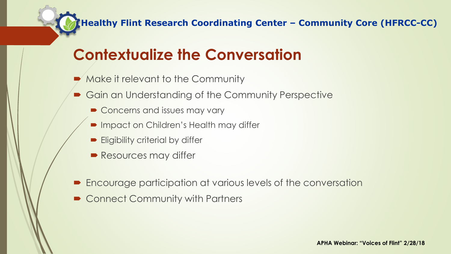## **Contextualize the Conversation**

- Make it relevant to the Community
- Gain an Understanding of the Community Perspective
	- Concerns and issues may vary
	- **Impact on Children's Health may differ**
	- **Eligibility criterial by differ**
	- Resources may differ
- Encourage participation at various levels of the conversation
- Connect Community with Partners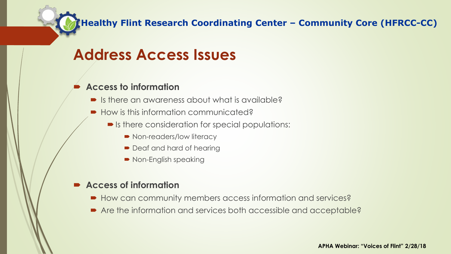### **Address Access Issues**

### **Access to information**

- $\blacksquare$  Is there an awareness about what is available?
- How is this information communicated?
	- $\blacktriangleright$  Is there consideration for special populations:
		- Non-readers/low literacy
		- Deaf and hard of hearing
		- Non-English speaking

### **Access of information**

- How can community members access information and services?
- Are the information and services both accessible and acceptable?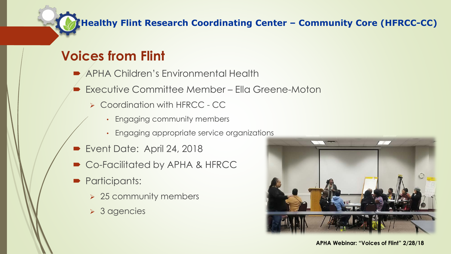### **Voices from Flint**

- APHA Children's Environmental Health
- Executive Committee Member Ella Greene-Moton
	- ▶ Coordination with HFRCC CC
		- Engaging community members
		- Engaging appropriate service organizations
- Event Date: April 24, 2018
- Co-Facilitated by APHA & HFRCC
- **Participants:** 
	- $\geq 25$  community members
	- **▶ 3 agencies**



#### **APHA Webinar: "Voices of Flint" 2/28/18**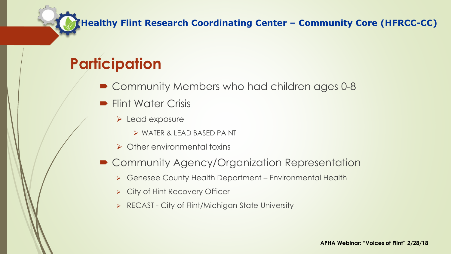# **Participation**

- Community Members who had children ages 0-8
- **Flint Water Crisis** 
	- $\triangleright$  Lead exposure
		- WATER & LEAD BASED PAINT
	- ▶ Other environmental toxins
- **Community Agency/Organization Representation** 
	- Genesee County Health Department Environmental Health
	- ▶ City of Flint Recovery Officer
	- ▶ RECAST City of Flint/Michigan State University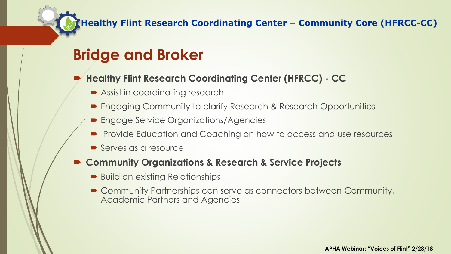## **Bridge and Broker**

- **Healthy Flint Research Coordinating Center (HFRCC) CC**
	- **Assist in coordinating research**
	- Engaging Community to clarify Research & Research Opportunities
	- **Engage Service Organizations/Agencies**
	- **Provide Education and Coaching on how to access and use resources**
	- Serves as a resource

### **Community Organizations & Research & Service Projects**

- Build on existing Relationships
- Community Partnerships can serve as connectors between Community, Academic Partners and Agencies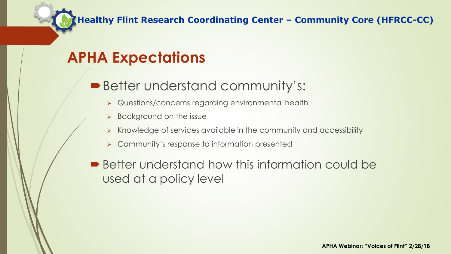### **APHA Expectations**

- Better understand community's:
	- > Questions/concerns regarding environmental health
	- $\triangleright$  Background on the issue
	- Knowledge of services available in the community and accessibility
	- ▶ Community's response to information presented

■ Better understand how this information could be used at a policy level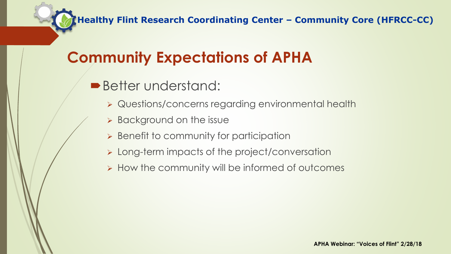## **Community Expectations of APHA**

- Better understand:
	- Questions/concerns regarding environmental health
	- $\triangleright$  Background on the issue
	- **Benefit to community for participation**
	- **EXA:** Long-term impacts of the project/conversation
	- $\triangleright$  How the community will be informed of outcomes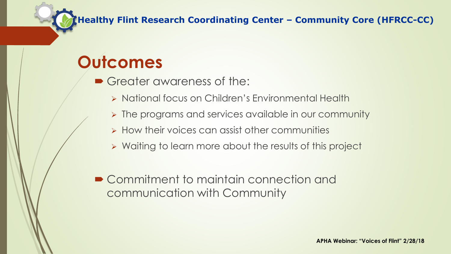# **Outcomes**

- Greater awareness of the:
	- **EXAT National focus on Children's Environmental Health**
	- > The programs and services available in our community
	- $\triangleright$  How their voices can assist other communities
	- > Waiting to learn more about the results of this project
- Commitment to maintain connection and communication with Community